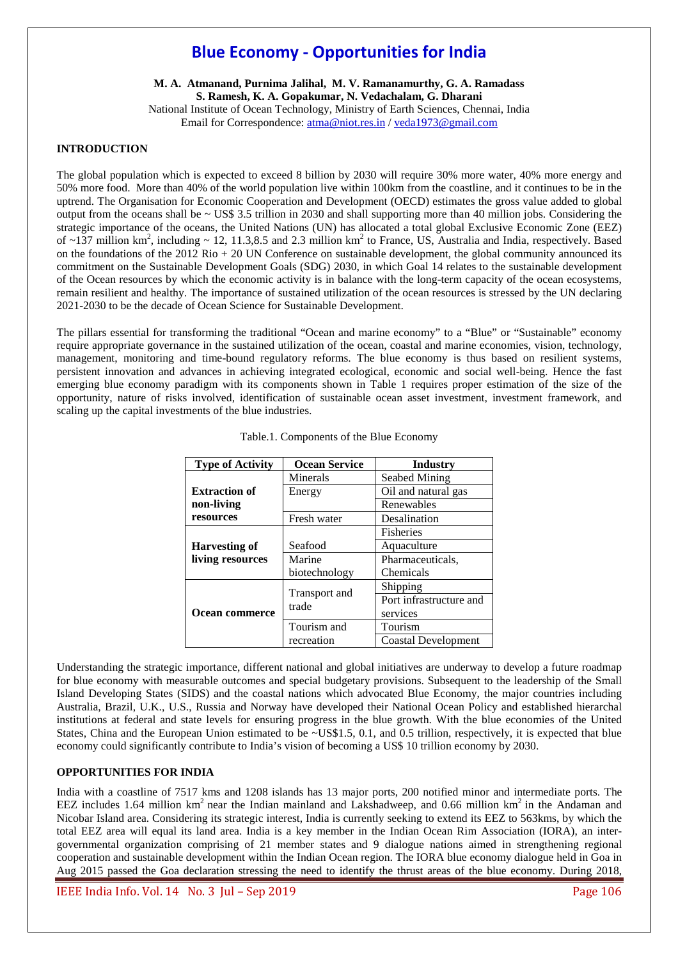# **Blue Economy - Opportunities for India**

**M. A. Atmanand, Purnima Jalihal, M. V. Ramanamurthy, G. A. Ramadass S. Ramesh, K. A. Gopakumar, N. Vedachalam, G. Dharani**  National Institute of Ocean Technology, Ministry of Earth Sciences, Chennai, India Email for Correspondence: atma@niot.res.in / veda1973@gmail.com

# **INTRODUCTION**

The global population which is expected to exceed 8 billion by 2030 will require 30% more water, 40% more energy and 50% more food. More than 40% of the world population live within 100km from the coastline, and it continues to be in the uptrend. The Organisation for Economic Cooperation and Development (OECD) estimates the gross value added to global output from the oceans shall be  $\sim$  US\$ 3.5 trillion in 2030 and shall supporting more than 40 million jobs. Considering the strategic importance of the oceans, the United Nations (UN) has allocated a total global Exclusive Economic Zone (EEZ) of  $\sim$ 137 million km<sup>2</sup>, including  $\sim$  12, 11.3,8.5 and 2.3 million km<sup>2</sup> to France, US, Australia and India, respectively. Based on the foundations of the  $2012 \text{ Rio} + 20 \text{ UN Conference}$  on sustainable development, the global community announced its commitment on the Sustainable Development Goals (SDG) 2030, in which Goal 14 relates to the sustainable development of the Ocean resources by which the economic activity is in balance with the long-term capacity of the ocean ecosystems, remain resilient and healthy. The importance of sustained utilization of the ocean resources is stressed by the UN declaring 2021-2030 to be the decade of Ocean Science for Sustainable Development.

The pillars essential for transforming the traditional "Ocean and marine economy" to a "Blue" or "Sustainable" economy require appropriate governance in the sustained utilization of the ocean, coastal and marine economies, vision, technology, management, monitoring and time-bound regulatory reforms. The blue economy is thus based on resilient systems, persistent innovation and advances in achieving integrated ecological, economic and social well-being. Hence the fast emerging blue economy paradigm with its components shown in Table 1 requires proper estimation of the size of the opportunity, nature of risks involved, identification of sustainable ocean asset investment, investment framework, and scaling up the capital investments of the blue industries.

| <b>Type of Activity</b>                  | <b>Ocean Service</b>   | <b>Industry</b>                       |  |  |
|------------------------------------------|------------------------|---------------------------------------|--|--|
|                                          | Minerals               | Seabed Mining                         |  |  |
| <b>Extraction of</b>                     | Energy                 | Oil and natural gas                   |  |  |
| non-living                               |                        | Renewables                            |  |  |
| resources                                | Fresh water            | Desalination                          |  |  |
|                                          |                        | <b>Fisheries</b>                      |  |  |
| <b>Harvesting of</b><br>living resources | Seafood                | Aquaculture                           |  |  |
|                                          | Marine                 | Pharmaceuticals,                      |  |  |
|                                          | biotechnology          | Chemicals                             |  |  |
| Ocean commerce                           | Transport and<br>trade | Shipping                              |  |  |
|                                          |                        | Port infrastructure and               |  |  |
|                                          |                        | services                              |  |  |
|                                          | Tourism and            | Tourism<br><b>Coastal Development</b> |  |  |
|                                          | recreation             |                                       |  |  |

|  | Table.1. Components of the Blue Economy |  |  |  |
|--|-----------------------------------------|--|--|--|
|--|-----------------------------------------|--|--|--|

Understanding the strategic importance, different national and global initiatives are underway to develop a future roadmap for blue economy with measurable outcomes and special budgetary provisions. Subsequent to the leadership of the Small Island Developing States (SIDS) and the coastal nations which advocated Blue Economy, the major countries including Australia, Brazil, U.K., U.S., Russia and Norway have developed their National Ocean Policy and established hierarchal institutions at federal and state levels for ensuring progress in the blue growth. With the blue economies of the United States, China and the European Union estimated to be  $\sim$ US\$1.5, 0.1, and 0.5 trillion, respectively, it is expected that blue economy could significantly contribute to India's vision of becoming a US\$ 10 trillion economy by 2030.

### **OPPORTUNITIES FOR INDIA**

India with a coastline of 7517 kms and 1208 islands has 13 major ports, 200 notified minor and intermediate ports. The EEZ includes 1.64 million  $km^2$  near the Indian mainland and Lakshadweep, and 0.66 million  $km^2$  in the Andaman and Nicobar Island area. Considering its strategic interest, India is currently seeking to extend its EEZ to 563kms, by which the total EEZ area will equal its land area. India is a key member in the Indian Ocean Rim Association (IORA), an intergovernmental organization comprising of 21 member states and 9 dialogue nations aimed in strengthening regional cooperation and sustainable development within the Indian Ocean region. The IORA blue economy dialogue held in Goa in Aug 2015 passed the Goa declaration stressing the need to identify the thrust areas of the blue economy. During 2018,

IEEE India Info. Vol. 14 No. 3 Jul – Sep 2019 Page 106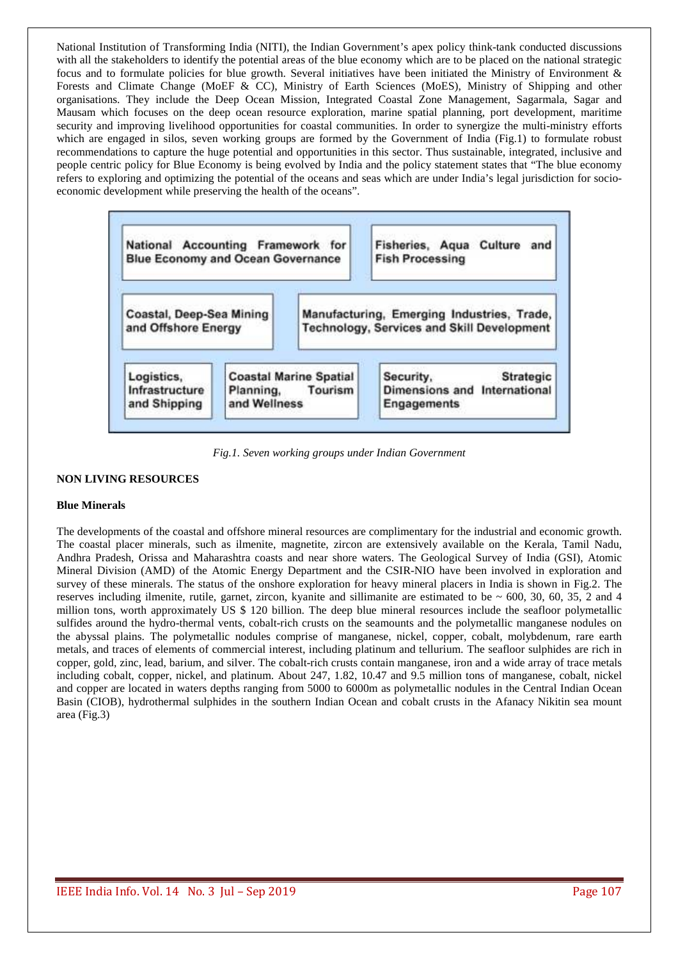National Institution of Transforming India (NITI), the Indian Government's apex policy think-tank conducted discussions with all the stakeholders to identify the potential areas of the blue economy which are to be placed on the national strategic focus and to formulate policies for blue growth. Several initiatives have been initiated the Ministry of Environment & Forests and Climate Change (MoEF & CC), Ministry of Earth Sciences (MoES), Ministry of Shipping and other organisations. They include the Deep Ocean Mission, Integrated Coastal Zone Management, Sagarmala, Sagar and Mausam which focuses on the deep ocean resource exploration, marine spatial planning, port development, maritime security and improving livelihood opportunities for coastal communities. In order to synergize the multi-ministry efforts which are engaged in silos, seven working groups are formed by the Government of India (Fig.1) to formulate robust recommendations to capture the huge potential and opportunities in this sector. Thus sustainable, integrated, inclusive and people centric policy for Blue Economy is being evolved by India and the policy statement states that "The blue economy refers to exploring and optimizing the potential of the oceans and seas which are under India's legal jurisdiction for socioeconomic development while preserving the health of the oceans".



*Fig.1. Seven working groups under Indian Government* 

# **NON LIVING RESOURCES**

### **Blue Minerals**

The developments of the coastal and offshore mineral resources are complimentary for the industrial and economic growth. The coastal placer minerals, such as ilmenite, magnetite, zircon are extensively available on the Kerala, Tamil Nadu, Andhra Pradesh, Orissa and Maharashtra coasts and near shore waters. The Geological Survey of India (GSI), Atomic Mineral Division (AMD) of the Atomic Energy Department and the CSIR-NIO have been involved in exploration and survey of these minerals. The status of the onshore exploration for heavy mineral placers in India is shown in Fig.2. The reserves including ilmenite, rutile, garnet, zircon, kyanite and sillimanite are estimated to be  $\sim 600$ , 30, 60, 35, 2 and 4 million tons, worth approximately US \$ 120 billion. The deep blue mineral resources include the seafloor polymetallic sulfides around the hydro-thermal vents, cobalt-rich crusts on the seamounts and the polymetallic manganese nodules on the abyssal plains. The polymetallic nodules comprise of manganese, nickel, copper, cobalt, molybdenum, rare earth metals, and traces of elements of commercial interest, including platinum and tellurium. The seafloor sulphides are rich in copper, gold, zinc, lead, barium, and silver. The cobalt-rich crusts contain manganese, iron and a wide array of trace metals including cobalt, copper, nickel, and platinum. About 247, 1.82, 10.47 and 9.5 million tons of manganese, cobalt, nickel and copper are located in waters depths ranging from 5000 to 6000m as polymetallic nodules in the Central Indian Ocean Basin (CIOB), hydrothermal sulphides in the southern Indian Ocean and cobalt crusts in the Afanacy Nikitin sea mount area (Fig.3)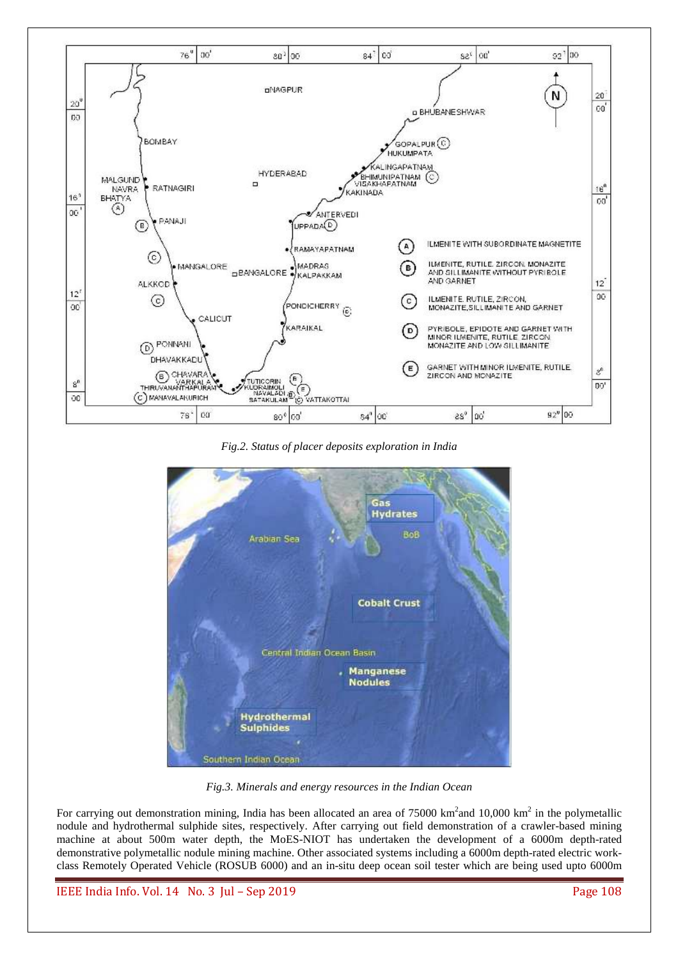

*Fig.2. Status of placer deposits exploration in India* 



*Fig.3. Minerals and energy resources in the Indian Ocean* 

For carrying out demonstration mining, India has been allocated an area of 75000 km<sup>2</sup> and 10,000 km<sup>2</sup> in the polymetallic nodule and hydrothermal sulphide sites, respectively. After carrying out field demonstration of a crawler-based mining machine at about 500m water depth, the MoES-NIOT has undertaken the development of a 6000m depth-rated demonstrative polymetallic nodule mining machine. Other associated systems including a 6000m depth-rated electric workclass Remotely Operated Vehicle (ROSUB 6000) and an in-situ deep ocean soil tester which are being used upto 6000m

IEEE India Info. Vol. 14 No. 3 Jul – Sep 2019 Page 108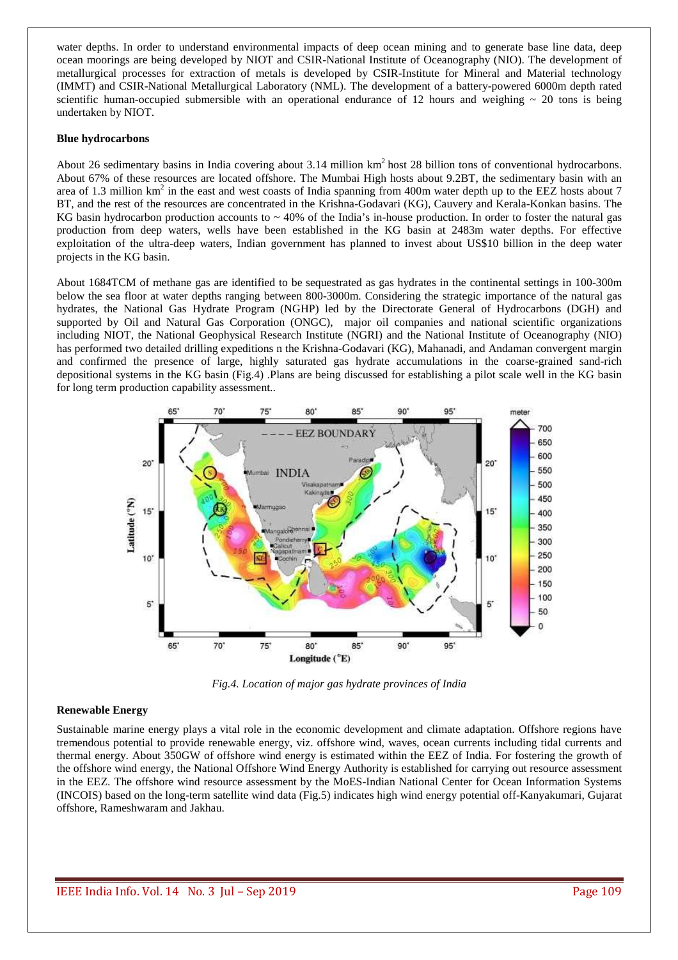water depths. In order to understand environmental impacts of deep ocean mining and to generate base line data, deep ocean moorings are being developed by NIOT and CSIR-National Institute of Oceanography (NIO). The development of metallurgical processes for extraction of metals is developed by CSIR-Institute for Mineral and Material technology (IMMT) and CSIR-National Metallurgical Laboratory (NML). The development of a battery-powered 6000m depth rated scientific human-occupied submersible with an operational endurance of 12 hours and weighing  $\sim$  20 tons is being undertaken by NIOT.

#### **Blue hydrocarbons**

About 26 sedimentary basins in India covering about 3.14 million  $km<sup>2</sup>$  host 28 billion tons of conventional hydrocarbons. About 67% of these resources are located offshore. The Mumbai High hosts about 9.2BT, the sedimentary basin with an area of 1.3 million  $km^2$  in the east and west coasts of India spanning from 400m water depth up to the EEZ hosts about 7 BT, and the rest of the resources are concentrated in the Krishna-Godavari (KG), Cauvery and Kerala-Konkan basins. The KG basin hydrocarbon production accounts to  $\sim$  40% of the India's in-house production. In order to foster the natural gas production from deep waters, wells have been established in the KG basin at 2483m water depths. For effective exploitation of the ultra-deep waters, Indian government has planned to invest about US\$10 billion in the deep water projects in the KG basin.

About 1684TCM of methane gas are identified to be sequestrated as gas hydrates in the continental settings in 100-300m below the sea floor at water depths ranging between 800-3000m. Considering the strategic importance of the natural gas hydrates, the National Gas Hydrate Program (NGHP) led by the Directorate General of Hydrocarbons (DGH) and supported by Oil and Natural Gas Corporation (ONGC), major oil companies and national scientific organizations including NIOT, the National Geophysical Research Institute (NGRI) and the National Institute of Oceanography (NIO) has performed two detailed drilling expeditions n the Krishna-Godavari (KG), Mahanadi, and Andaman convergent margin and confirmed the presence of large, highly saturated gas hydrate accumulations in the coarse-grained sand-rich depositional systems in the KG basin (Fig.4) .Plans are being discussed for establishing a pilot scale well in the KG basin for long term production capability assessment..



*Fig.4. Location of major gas hydrate provinces of India* 

# **Renewable Energy**

Sustainable marine energy plays a vital role in the economic development and climate adaptation. Offshore regions have tremendous potential to provide renewable energy, viz. offshore wind, waves, ocean currents including tidal currents and thermal energy. About 350GW of offshore wind energy is estimated within the EEZ of India. For fostering the growth of the offshore wind energy, the National Offshore Wind Energy Authority is established for carrying out resource assessment in the EEZ. The offshore wind resource assessment by the MoES-Indian National Center for Ocean Information Systems (INCOIS) based on the long-term satellite wind data (Fig.5) indicates high wind energy potential off-Kanyakumari, Gujarat offshore, Rameshwaram and Jakhau.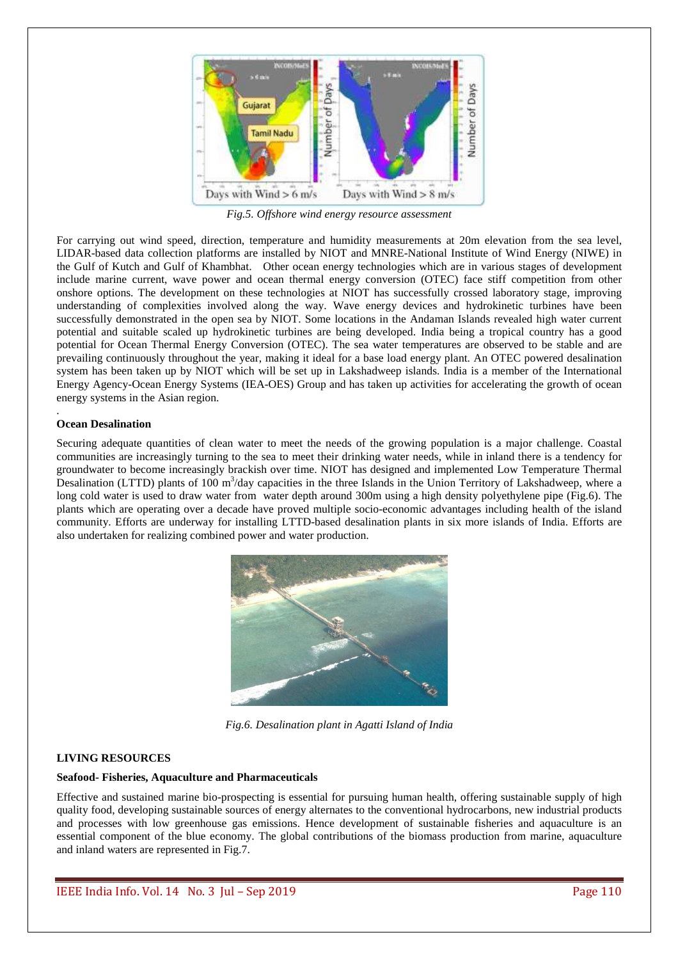

*Fig.5. Offshore wind energy resource assessment* 

For carrying out wind speed, direction, temperature and humidity measurements at 20m elevation from the sea level, LIDAR-based data collection platforms are installed by NIOT and MNRE-National Institute of Wind Energy (NIWE) in the Gulf of Kutch and Gulf of Khambhat. Other ocean energy technologies which are in various stages of development include marine current, wave power and ocean thermal energy conversion (OTEC) face stiff competition from other onshore options. The development on these technologies at NIOT has successfully crossed laboratory stage, improving understanding of complexities involved along the way. Wave energy devices and hydrokinetic turbines have been successfully demonstrated in the open sea by NIOT. Some locations in the Andaman Islands revealed high water current potential and suitable scaled up hydrokinetic turbines are being developed. India being a tropical country has a good potential for Ocean Thermal Energy Conversion (OTEC). The sea water temperatures are observed to be stable and are prevailing continuously throughout the year, making it ideal for a base load energy plant. An OTEC powered desalination system has been taken up by NIOT which will be set up in Lakshadweep islands. India is a member of the International Energy Agency-Ocean Energy Systems (IEA-OES) Group and has taken up activities for accelerating the growth of ocean energy systems in the Asian region.

# **Ocean Desalination**

.

Securing adequate quantities of clean water to meet the needs of the growing population is a major challenge. Coastal communities are increasingly turning to the sea to meet their drinking water needs, while in inland there is a tendency for groundwater to become increasingly brackish over time. NIOT has designed and implemented Low Temperature Thermal Desalination (LTTD) plants of  $100 \text{ m}^3$ /day capacities in the three Islands in the Union Territory of Lakshadweep, where a long cold water is used to draw water from water depth around 300m using a high density polyethylene pipe (Fig.6). The plants which are operating over a decade have proved multiple socio-economic advantages including health of the island community. Efforts are underway for installing LTTD-based desalination plants in six more islands of India. Efforts are also undertaken for realizing combined power and water production.



*Fig.6. Desalination plant in Agatti Island of India*

# **LIVING RESOURCES**

# **Seafood- Fisheries, Aquaculture and Pharmaceuticals**

Effective and sustained marine bio-prospecting is essential for pursuing human health, offering sustainable supply of high quality food, developing sustainable sources of energy alternates to the conventional hydrocarbons, new industrial products and processes with low greenhouse gas emissions. Hence development of sustainable fisheries and aquaculture is an essential component of the blue economy. The global contributions of the biomass production from marine, aquaculture and inland waters are represented in Fig.7.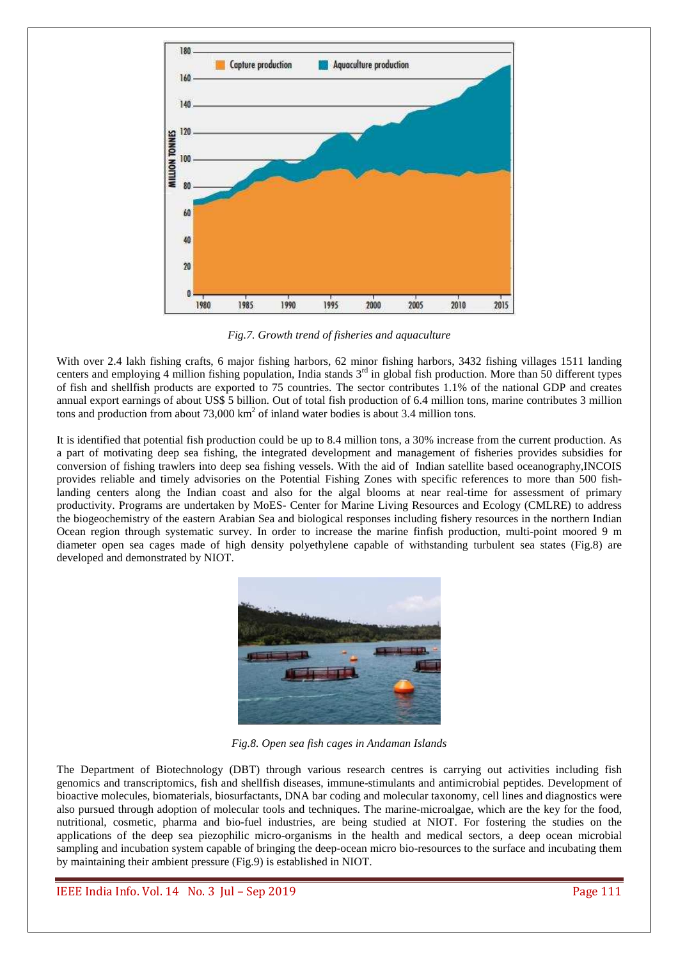

*Fig.7. Growth trend of fisheries and aquaculture* 

With over 2.4 lakh fishing crafts, 6 major fishing harbors, 62 minor fishing harbors, 3432 fishing villages 1511 landing centers and employing 4 million fishing population. India stands  $3<sup>rd</sup>$  in global fish production. More than 50 different types of fish and shellfish products are exported to 75 countries. The sector contributes 1.1% of the national GDP and creates annual export earnings of about US\$ 5 billion. Out of total fish production of 6.4 million tons, marine contributes 3 million tons and production from about  $73,000 \text{ km}^2$  of inland water bodies is about 3.4 million tons.

It is identified that potential fish production could be up to 8.4 million tons, a 30% increase from the current production. As a part of motivating deep sea fishing, the integrated development and management of fisheries provides subsidies for conversion of fishing trawlers into deep sea fishing vessels. With the aid of Indian satellite based oceanography,INCOIS provides reliable and timely advisories on the Potential Fishing Zones with specific references to more than 500 fishlanding centers along the Indian coast and also for the algal blooms at near real-time for assessment of primary productivity. Programs are undertaken by MoES- Center for Marine Living Resources and Ecology (CMLRE) to address the biogeochemistry of the eastern Arabian Sea and biological responses including fishery resources in the northern Indian Ocean region through systematic survey. In order to increase the marine finfish production, multi-point moored 9 m diameter open sea cages made of high density polyethylene capable of withstanding turbulent sea states (Fig.8) are developed and demonstrated by NIOT.



*Fig.8. Open sea fish cages in Andaman Islands* 

The Department of Biotechnology (DBT) through various research centres is carrying out activities including fish genomics and transcriptomics, fish and shellfish diseases, immune-stimulants and antimicrobial peptides. Development of bioactive molecules, biomaterials, biosurfactants, DNA bar coding and molecular taxonomy, cell lines and diagnostics were also pursued through adoption of molecular tools and techniques. The marine-microalgae, which are the key for the food, nutritional, cosmetic, pharma and bio-fuel industries, are being studied at NIOT. For fostering the studies on the applications of the deep sea piezophilic micro-organisms in the health and medical sectors, a deep ocean microbial sampling and incubation system capable of bringing the deep-ocean micro bio-resources to the surface and incubating them by maintaining their ambient pressure (Fig.9) is established in NIOT.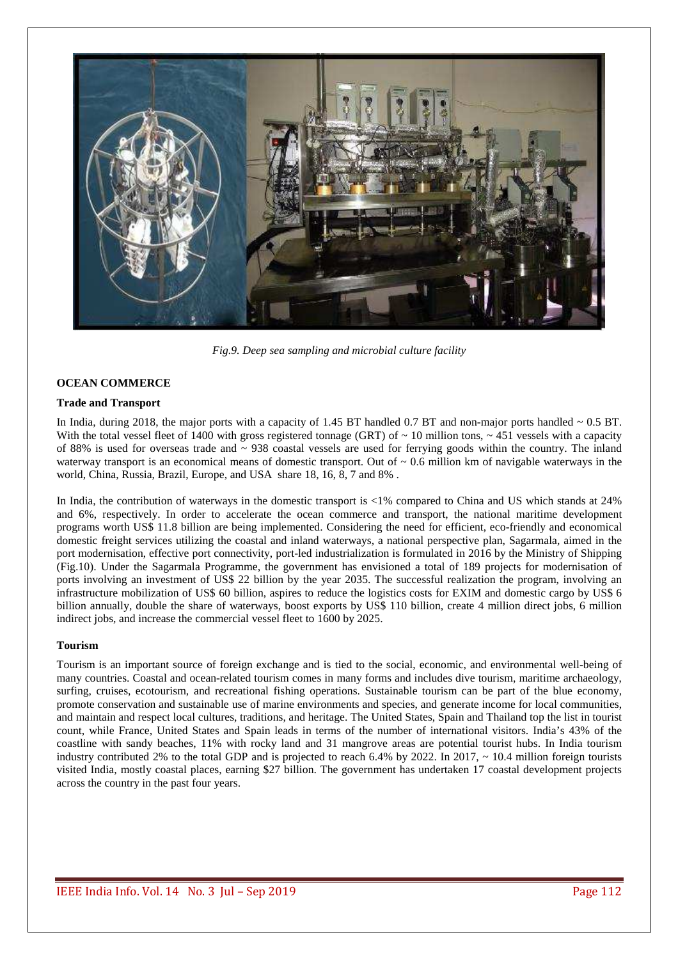

*Fig.9. Deep sea sampling and microbial culture facility* 

### **OCEAN COMMERCE**

### **Trade and Transport**

In India, during 2018, the major ports with a capacity of 1.45 BT handled 0.7 BT and non-major ports handled  $\sim 0.5$  BT. With the total vessel fleet of 1400 with gross registered tonnage (GRT) of  $\sim 10$  million tons,  $\sim 451$  vessels with a capacity of 88% is used for overseas trade and  $\sim$  938 coastal vessels are used for ferrying goods within the country. The inland waterway transport is an economical means of domestic transport. Out of  $\sim 0.6$  million km of navigable waterways in the world, China, Russia, Brazil, Europe, and USA share 18, 16, 8, 7 and 8% .

In India, the contribution of waterways in the domestic transport is <1% compared to China and US which stands at 24% and 6%, respectively. In order to accelerate the ocean commerce and transport, the national maritime development programs worth US\$ 11.8 billion are being implemented. Considering the need for efficient, eco-friendly and economical domestic freight services utilizing the coastal and inland waterways, a national perspective plan, Sagarmala, aimed in the port modernisation, effective port connectivity, port-led industrialization is formulated in 2016 by the Ministry of Shipping (Fig.10). Under the Sagarmala Programme, the government has envisioned a total of 189 projects for modernisation of ports involving an investment of US\$ 22 billion by the year 2035. The successful realization the program, involving an infrastructure mobilization of US\$ 60 billion, aspires to reduce the logistics costs for EXIM and domestic cargo by US\$ 6 billion annually, double the share of waterways, boost exports by US\$ 110 billion, create 4 million direct jobs, 6 million indirect jobs, and increase the commercial vessel fleet to 1600 by 2025.

#### **Tourism**

Tourism is an important source of foreign exchange and is tied to the social, economic, and environmental well-being of many countries. Coastal and ocean-related tourism comes in many forms and includes dive tourism, maritime archaeology, surfing, cruises, ecotourism, and recreational fishing operations. Sustainable tourism can be part of the blue economy, promote conservation and sustainable use of marine environments and species, and generate income for local communities, and maintain and respect local cultures, traditions, and heritage. The United States, Spain and Thailand top the list in tourist count, while France, United States and Spain leads in terms of the number of international visitors. India's 43% of the coastline with sandy beaches, 11% with rocky land and 31 mangrove areas are potential tourist hubs. In India tourism industry contributed 2% to the total GDP and is projected to reach 6.4% by 2022. In 2017,  $\sim$  10.4 million foreign tourists visited India, mostly coastal places, earning \$27 billion. The government has undertaken 17 coastal development projects across the country in the past four years.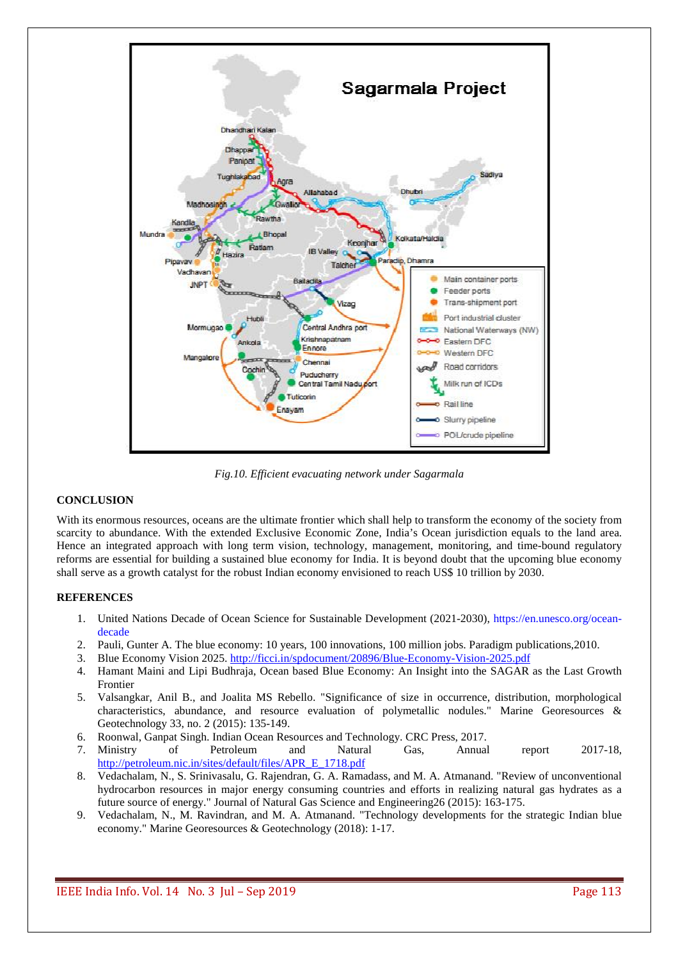

*Fig.10. Efficient evacuating network under Sagarmala* 

# **CONCLUSION**

With its enormous resources, oceans are the ultimate frontier which shall help to transform the economy of the society from scarcity to abundance. With the extended Exclusive Economic Zone, India's Ocean jurisdiction equals to the land area. Hence an integrated approach with long term vision, technology, management, monitoring, and time-bound regulatory reforms are essential for building a sustained blue economy for India. It is beyond doubt that the upcoming blue economy shall serve as a growth catalyst for the robust Indian economy envisioned to reach US\$ 10 trillion by 2030.

# **REFERENCES**

- 1. United Nations Decade of Ocean Science for Sustainable Development (2021-2030), https://en.unesco.org/oceandecade
- 2. Pauli, Gunter A. The blue economy: 10 years, 100 innovations, 100 million jobs. Paradigm publications,2010.
- 3. Blue Economy Vision 2025. http://ficci.in/spdocument/20896/Blue-Economy-Vision-2025.pdf
- 4. Hamant Maini and Lipi Budhraja, Ocean based Blue Economy: An Insight into the SAGAR as the Last Growth Frontier
- 5. Valsangkar, Anil B., and Joalita MS Rebello. "Significance of size in occurrence, distribution, morphological characteristics, abundance, and resource evaluation of polymetallic nodules." Marine Georesources & Geotechnology 33, no. 2 (2015): 135-149.
- 6. Roonwal, Ganpat Singh. Indian Ocean Resources and Technology. CRC Press, 2017.
- 7. Ministry of Petroleum and Natural Gas, Annual report 2017-18, http://petroleum.nic.in/sites/default/files/APR\_E\_1718.pdf
- 8. Vedachalam, N., S. Srinivasalu, G. Rajendran, G. A. Ramadass, and M. A. Atmanand. "Review of unconventional hydrocarbon resources in major energy consuming countries and efforts in realizing natural gas hydrates as a future source of energy." Journal of Natural Gas Science and Engineering26 (2015): 163-175.
- 9. Vedachalam, N., M. Ravindran, and M. A. Atmanand. "Technology developments for the strategic Indian blue economy." Marine Georesources & Geotechnology (2018): 1-17.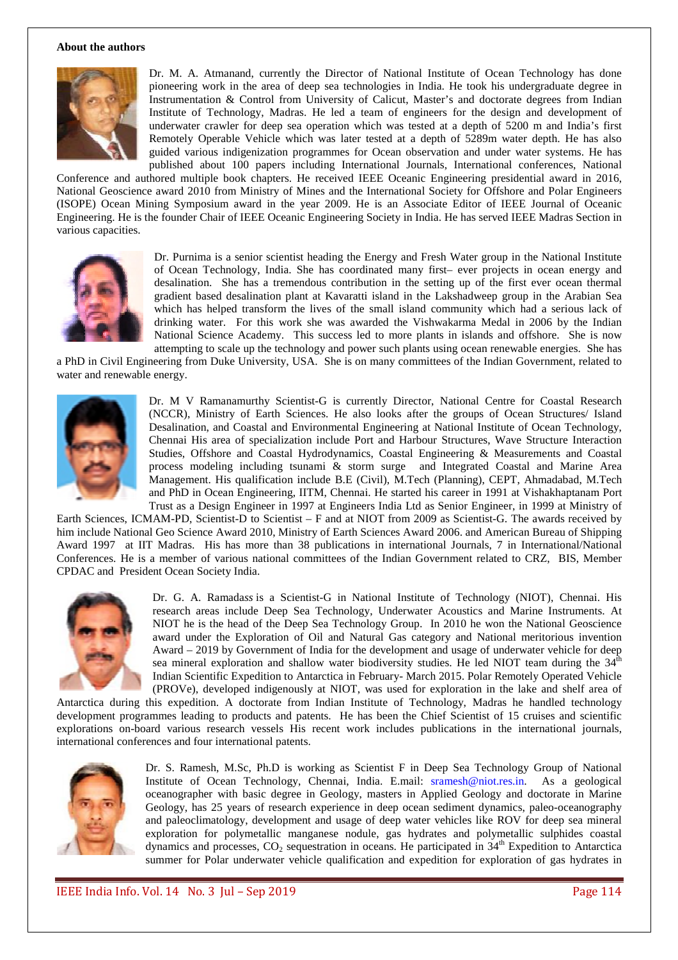#### **About the authors**



Dr. M. A. Atmanand, currently the Director of National Institute of Ocean Technology has done pioneering work in the area of deep sea technologies in India. He took his undergraduate degree in Instrumentation & Control from University of Calicut, Master's and doctorate degrees from Indian Institute of Technology, Madras. He led a team of engineers for the design and development of underwater crawler for deep sea operation which was tested at a depth of 5200 m and India's first Remotely Operable Vehicle which was later tested at a depth of 5289m water depth. He has also guided various indigenization programmes for Ocean observation and under water systems. He has published about 100 papers including International Journals, International conferences, National

Conference and authored multiple book chapters. He received IEEE Oceanic Engineering presidential award in 2016, National Geoscience award 2010 from Ministry of Mines and the International Society for Offshore and Polar Engineers (ISOPE) Ocean Mining Symposium award in the year 2009. He is an Associate Editor of IEEE Journal of Oceanic Engineering. He is the founder Chair of IEEE Oceanic Engineering Society in India. He has served IEEE Madras Section in various capacities.



Dr. Purnima is a senior scientist heading the Energy and Fresh Water group in the National Institute of Ocean Technology, India. She has coordinated many first– ever projects in ocean energy and desalination. She has a tremendous contribution in the setting up of the first ever ocean thermal gradient based desalination plant at Kavaratti island in the Lakshadweep group in the Arabian Sea which has helped transform the lives of the small island community which had a serious lack of drinking water. For this work she was awarded the Vishwakarma Medal in 2006 by the Indian National Science Academy. This success led to more plants in islands and offshore. She is now attempting to scale up the technology and power such plants using ocean renewable energies. She has

a PhD in Civil Engineering from Duke University, USA. She is on many committees of the Indian Government, related to water and renewable energy.



Dr. M V Ramanamurthy Scientist-G is currently Director, National Centre for Coastal Research (NCCR), Ministry of Earth Sciences. He also looks after the groups of Ocean Structures/ Island Desalination, and Coastal and Environmental Engineering at National Institute of Ocean Technology, Chennai His area of specialization include Port and Harbour Structures, Wave Structure Interaction Studies, Offshore and Coastal Hydrodynamics, Coastal Engineering & Measurements and Coastal process modeling including tsunami & storm surge and Integrated Coastal and Marine Area Management. His qualification include B.E (Civil), M.Tech (Planning), CEPT, Ahmadabad, M.Tech and PhD in Ocean Engineering, IITM, Chennai. He started his career in 1991 at Vishakhaptanam Port Trust as a Design Engineer in 1997 at Engineers India Ltd as Senior Engineer, in 1999 at Ministry of

Earth Sciences, ICMAM-PD, Scientist-D to Scientist – F and at NIOT from 2009 as Scientist-G. The awards received by him include National Geo Science Award 2010, Ministry of Earth Sciences Award 2006. and American Bureau of Shipping Award 1997 at IIT Madras. His has more than 38 publications in international Journals, 7 in International/National Conferences. He is a member of various national committees of the Indian Government related to CRZ, BIS, Member CPDAC and President Ocean Society India.



Dr. G. A. Ramada*ss* is a Scientist-G in National Institute of Technology (NIOT), Chennai. His research areas include Deep Sea Technology, Underwater Acoustics and Marine Instruments. At NIOT he is the head of the Deep Sea Technology Group. In 2010 he won the National Geoscience award under the Exploration of Oil and Natural Gas category and National meritorious invention Award – 2019 by Government of India for the development and usage of underwater vehicle for deep sea mineral exploration and shallow water biodiversity studies. He led NIOT team during the  $34<sup>th</sup>$ Indian Scientific Expedition to Antarctica in February- March 2015. Polar Remotely Operated Vehicle (PROVe), developed indigenously at NIOT, was used for exploration in the lake and shelf area of

Antarctica during this expedition. A doctorate from Indian Institute of Technology, Madras he handled technology development programmes leading to products and patents. He has been the Chief Scientist of 15 cruises and scientific explorations on-board various research vessels His recent work includes publications in the international journals, international conferences and four international patents.



Dr. S. Ramesh, M.Sc, Ph.D is working as Scientist F in Deep Sea Technology Group of National Institute of Ocean Technology, Chennai, India. E.mail: sramesh@niot.res.in. As a geological oceanographer with basic degree in Geology, masters in Applied Geology and doctorate in Marine Geology, has 25 years of research experience in deep ocean sediment dynamics, paleo-oceanography and paleoclimatology, development and usage of deep water vehicles like ROV for deep sea mineral exploration for polymetallic manganese nodule, gas hydrates and polymetallic sulphides coastal dynamics and processes, CO<sub>2</sub> sequestration in oceans. He participated in 34<sup>th</sup> Expedition to Antarctica summer for Polar underwater vehicle qualification and expedition for exploration of gas hydrates in